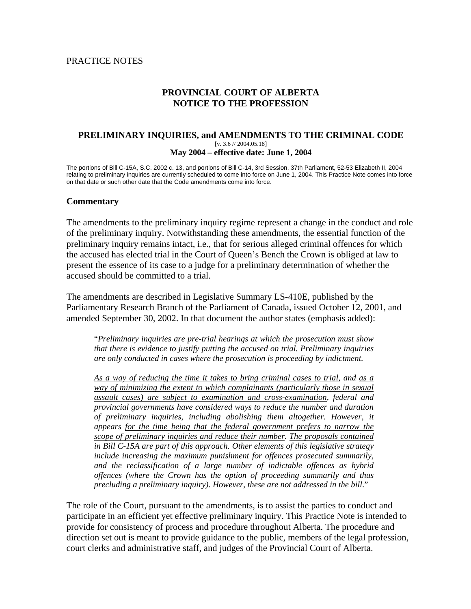#### PRACTICE NOTES

## **PROVINCIAL COURT OF ALBERTA NOTICE TO THE PROFESSION**

#### **PRELIMINARY INQUIRIES, and AMENDMENTS TO THE CRIMINAL CODE**  [v. 3.6 // 2004.05.18] **May 2004 – effective date: June 1, 2004**

The portions of Bill C-15A, S.C. 2002 c. 13, and portions of Bill C-14, 3rd Session, 37th Parliament, 52-53 Elizabeth II, 2004 relating to preliminary inquiries are currently scheduled to come into force on June 1, 2004. This Practice Note comes into force on that date or such other date that the Code amendments come into force.

#### **Commentary**

The amendments to the preliminary inquiry regime represent a change in the conduct and role of the preliminary inquiry. Notwithstanding these amendments, the essential function of the preliminary inquiry remains intact, i.e., that for serious alleged criminal offences for which the accused has elected trial in the Court of Queen's Bench the Crown is obliged at law to present the essence of its case to a judge for a preliminary determination of whether the accused should be committed to a trial.

The amendments are described in Legislative Summary LS-410E, published by the Parliamentary Research Branch of the Parliament of Canada, issued October 12, 2001, and amended September 30, 2002. In that document the author states (emphasis added):

"*Preliminary inquiries are pre-trial hearings at which the prosecution must show that there is evidence to justify putting the accused on trial. Preliminary inquiries are only conducted in cases where the prosecution is proceeding by indictment.* 

*As a way of reducing the time it takes to bring criminal cases to trial, and as a way of minimizing the extent to which complainants (particularly those in sexual assault cases) are subject to examination and cross-examination, federal and provincial governments have considered ways to reduce the number and duration of preliminary inquiries, including abolishing them altogether. However, it appears for the time being that the federal government prefers to narrow the scope of preliminary inquiries and reduce their number. The proposals contained in Bill C-15A are part of this approach. Other elements of this legislative strategy include increasing the maximum punishment for offences prosecuted summarily, and the reclassification of a large number of indictable offences as hybrid offences (where the Crown has the option of proceeding summarily and thus precluding a preliminary inquiry). However, these are not addressed in the bill*."

The role of the Court, pursuant to the amendments, is to assist the parties to conduct and participate in an efficient yet effective preliminary inquiry. This Practice Note is intended to provide for consistency of process and procedure throughout Alberta. The procedure and direction set out is meant to provide guidance to the public, members of the legal profession, court clerks and administrative staff, and judges of the Provincial Court of Alberta.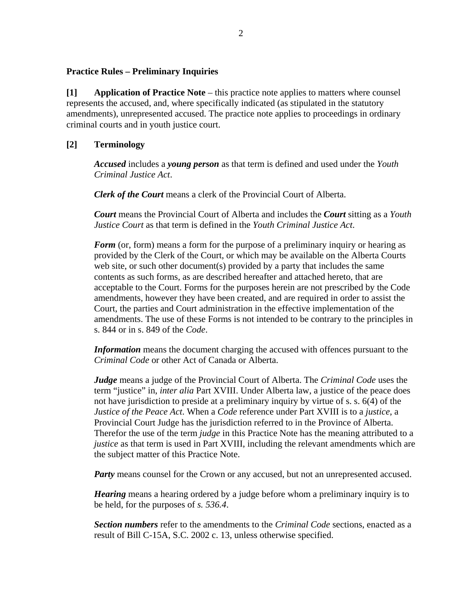#### **Practice Rules – Preliminary Inquiries**

**[1] Application of Practice Note** – this practice note applies to matters where counsel represents the accused, and, where specifically indicated (as stipulated in the statutory amendments), unrepresented accused. The practice note applies to proceedings in ordinary criminal courts and in youth justice court.

## **[2] Terminology**

*Accused* includes a *young person* as that term is defined and used under the *Youth Criminal Justice Act*.

*Clerk of the Court* means a clerk of the Provincial Court of Alberta.

*Court* means the Provincial Court of Alberta and includes the *Court* sitting as a *Youth Justice Court* as that term is defined in the *Youth Criminal Justice Act*.

*Form* (or, form) means a form for the purpose of a preliminary inquiry or hearing as provided by the Clerk of the Court, or which may be available on the Alberta Courts web site, or such other document(s) provided by a party that includes the same contents as such forms, as are described hereafter and attached hereto, that are acceptable to the Court. Forms for the purposes herein are not prescribed by the Code amendments, however they have been created, and are required in order to assist the Court, the parties and Court administration in the effective implementation of the amendments. The use of these Forms is not intended to be contrary to the principles in s. 844 or in s. 849 of the *Code*.

*Information* means the document charging the accused with offences pursuant to the *Criminal Code* or other Act of Canada or Alberta.

*Judge* means a judge of the Provincial Court of Alberta. The *Criminal Code* uses the term "justice" in, *inter alia* Part XVIII. Under Alberta law, a justice of the peace does not have jurisdiction to preside at a preliminary inquiry by virtue of s. s. 6(4) of the *Justice of the Peace Act*. When a *Code* reference under Part XVIII is to a *justice*, a Provincial Court Judge has the jurisdiction referred to in the Province of Alberta. Therefor the use of the term *judge* in this Practice Note has the meaning attributed to a *justice* as that term is used in Part XVIII, including the relevant amendments which are the subject matter of this Practice Note.

*Party* means counsel for the Crown or any accused, but not an unrepresented accused.

*Hearing* means a hearing ordered by a judge before whom a preliminary inquiry is to be held, for the purposes of *s. 536.4*.

*Section numbers* refer to the amendments to the *Criminal Code* sections, enacted as a result of Bill C-15A, S.C. 2002 c. 13, unless otherwise specified.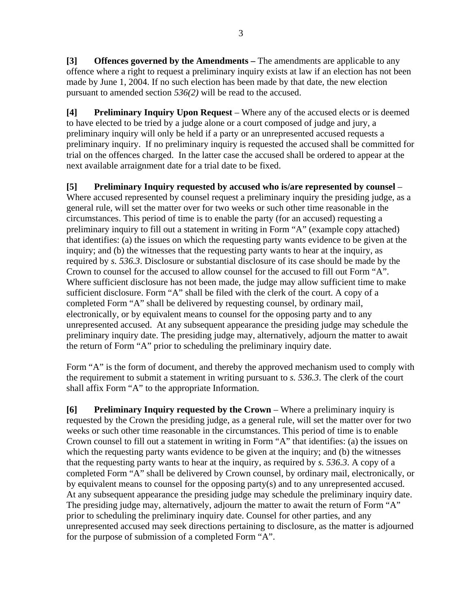**[3] Offences governed by the Amendments –** The amendments are applicable to any offence where a right to request a preliminary inquiry exists at law if an election has not been made by June 1, 2004. If no such election has been made by that date, the new election pursuant to amended section *536(2)* will be read to the accused.

**[4] Preliminary Inquiry Upon Request** – Where any of the accused elects or is deemed to have elected to be tried by a judge alone or a court composed of judge and jury, a preliminary inquiry will only be held if a party or an unrepresented accused requests a preliminary inquiry. If no preliminary inquiry is requested the accused shall be committed for trial on the offences charged. In the latter case the accused shall be ordered to appear at the next available arraignment date for a trial date to be fixed.

**[5] Preliminary Inquiry requested by accused who is/are represented by counsel** – Where accused represented by counsel request a preliminary inquiry the presiding judge, as a general rule, will set the matter over for two weeks or such other time reasonable in the circumstances. This period of time is to enable the party (for an accused) requesting a preliminary inquiry to fill out a statement in writing in Form "A" (example copy attached) that identifies: (a) the issues on which the requesting party wants evidence to be given at the inquiry; and (b) the witnesses that the requesting party wants to hear at the inquiry, as required by *s. 536.3*. Disclosure or substantial disclosure of its case should be made by the Crown to counsel for the accused to allow counsel for the accused to fill out Form "A". Where sufficient disclosure has not been made, the judge may allow sufficient time to make sufficient disclosure. Form "A" shall be filed with the clerk of the court. A copy of a completed Form "A" shall be delivered by requesting counsel, by ordinary mail, electronically, or by equivalent means to counsel for the opposing party and to any unrepresented accused. At any subsequent appearance the presiding judge may schedule the preliminary inquiry date. The presiding judge may, alternatively, adjourn the matter to await the return of Form "A" prior to scheduling the preliminary inquiry date.

Form "A" is the form of document, and thereby the approved mechanism used to comply with the requirement to submit a statement in writing pursuant to *s. 536.3*. The clerk of the court shall affix Form "A" to the appropriate Information.

**[6] Preliminary Inquiry requested by the Crown** – Where a preliminary inquiry is requested by the Crown the presiding judge, as a general rule, will set the matter over for two weeks or such other time reasonable in the circumstances. This period of time is to enable Crown counsel to fill out a statement in writing in Form "A" that identifies: (a) the issues on which the requesting party wants evidence to be given at the inquiry; and (b) the witnesses that the requesting party wants to hear at the inquiry, as required by *s. 536.3*. A copy of a completed Form "A" shall be delivered by Crown counsel, by ordinary mail, electronically, or by equivalent means to counsel for the opposing party(s) and to any unrepresented accused. At any subsequent appearance the presiding judge may schedule the preliminary inquiry date. The presiding judge may, alternatively, adjourn the matter to await the return of Form "A" prior to scheduling the preliminary inquiry date. Counsel for other parties, and any unrepresented accused may seek directions pertaining to disclosure, as the matter is adjourned for the purpose of submission of a completed Form "A".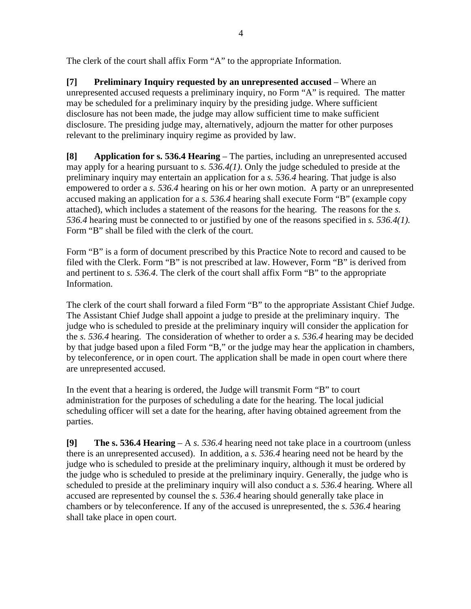The clerk of the court shall affix Form "A" to the appropriate Information.

**[7] Preliminary Inquiry requested by an unrepresented accused** – Where an unrepresented accused requests a preliminary inquiry, no Form "A" is required. The matter may be scheduled for a preliminary inquiry by the presiding judge. Where sufficient disclosure has not been made, the judge may allow sufficient time to make sufficient disclosure. The presiding judge may, alternatively, adjourn the matter for other purposes relevant to the preliminary inquiry regime as provided by law.

**[8] Application for s. 536.4 Hearing** – The parties, including an unrepresented accused may apply for a hearing pursuant to *s. 536.4(1)*. Only the judge scheduled to preside at the preliminary inquiry may entertain an application for a *s. 536.4* hearing. That judge is also empowered to order a *s. 536.4* hearing on his or her own motion. A party or an unrepresented accused making an application for a *s. 536.4* hearing shall execute Form "B" (example copy attached), which includes a statement of the reasons for the hearing. The reasons for the *s. 536.4* hearing must be connected to or justified by one of the reasons specified in *s. 536.4(1).* Form "B" shall be filed with the clerk of the court.

Form "B" is a form of document prescribed by this Practice Note to record and caused to be filed with the Clerk. Form "B" is not prescribed at law. However, Form "B" is derived from and pertinent to *s. 536.4*. The clerk of the court shall affix Form "B" to the appropriate Information.

The clerk of the court shall forward a filed Form "B" to the appropriate Assistant Chief Judge. The Assistant Chief Judge shall appoint a judge to preside at the preliminary inquiry. The judge who is scheduled to preside at the preliminary inquiry will consider the application for the *s. 536.4* hearing. The consideration of whether to order a *s. 536.4* hearing may be decided by that judge based upon a filed Form "B," or the judge may hear the application in chambers, by teleconference, or in open court. The application shall be made in open court where there are unrepresented accused.

In the event that a hearing is ordered, the Judge will transmit Form "B" to court administration for the purposes of scheduling a date for the hearing. The local judicial scheduling officer will set a date for the hearing, after having obtained agreement from the parties.

**[9] The s. 536.4 Hearing** – A *s. 536.4* hearing need not take place in a courtroom (unless there is an unrepresented accused). In addition, a *s. 536.4* hearing need not be heard by the judge who is scheduled to preside at the preliminary inquiry, although it must be ordered by the judge who is scheduled to preside at the preliminary inquiry. Generally, the judge who is scheduled to preside at the preliminary inquiry will also conduct a *s. 536.4* hearing. Where all accused are represented by counsel the *s. 536.4* hearing should generally take place in chambers or by teleconference. If any of the accused is unrepresented, the *s. 536.4* hearing shall take place in open court.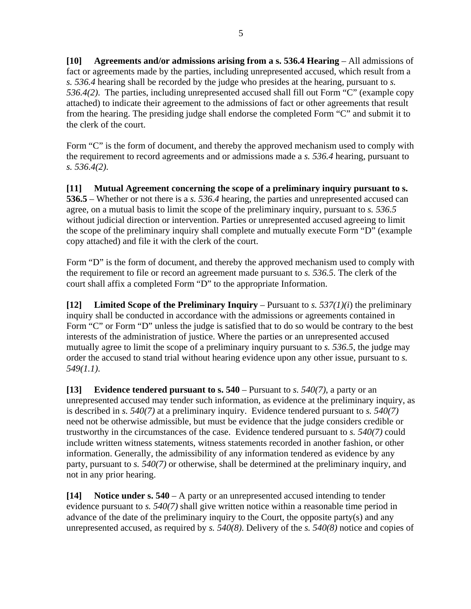**[10]** Agreements and/or admissions arising from a s. 536.4 Hearing – All admissions of fact or agreements made by the parties, including unrepresented accused, which result from a *s. 536.4* hearing shall be recorded by the judge who presides at the hearing, pursuant to *s. 536.4(2)*. The parties, including unrepresented accused shall fill out Form "C" (example copy attached) to indicate their agreement to the admissions of fact or other agreements that result from the hearing. The presiding judge shall endorse the completed Form "C" and submit it to the clerk of the court.

Form "C" is the form of document, and thereby the approved mechanism used to comply with the requirement to record agreements and or admissions made a *s. 536.4* hearing, pursuant to *s. 536.4(2)*.

**[11] Mutual Agreement concerning the scope of a preliminary inquiry pursuant to s. 536.5** – Whether or not there is a *s. 536.4* hearing, the parties and unrepresented accused can agree, on a mutual basis to limit the scope of the preliminary inquiry, pursuant to *s. 536.5* without judicial direction or intervention. Parties or unrepresented accused agreeing to limit the scope of the preliminary inquiry shall complete and mutually execute Form "D" (example copy attached) and file it with the clerk of the court.

Form "D" is the form of document, and thereby the approved mechanism used to comply with the requirement to file or record an agreement made pursuant to *s. 536.5*. The clerk of the court shall affix a completed Form "D" to the appropriate Information.

**[12]** Limited Scope of the Preliminary Inquiry – Pursuant to *s.*  $537(1)(i)$  the preliminary inquiry shall be conducted in accordance with the admissions or agreements contained in Form "C" or Form "D" unless the judge is satisfied that to do so would be contrary to the best interests of the administration of justice. Where the parties or an unrepresented accused mutually agree to limit the scope of a preliminary inquiry pursuant to *s. 536.5*, the judge may order the accused to stand trial without hearing evidence upon any other issue, pursuant to *s. 549(1.1)*.

**[13]** Evidence tendered pursuant to s.  $540 -$  Pursuant to *s.*  $540(7)$ , a party or an unrepresented accused may tender such information, as evidence at the preliminary inquiry, as is described in *s. 540(7)* at a preliminary inquiry. Evidence tendered pursuant to *s. 540(7)* need not be otherwise admissible, but must be evidence that the judge considers credible or trustworthy in the circumstances of the case. Evidence tendered pursuant to *s. 540(7)* could include written witness statements, witness statements recorded in another fashion, or other information. Generally, the admissibility of any information tendered as evidence by any party, pursuant to *s. 540(7)* or otherwise, shall be determined at the preliminary inquiry, and not in any prior hearing.

**[14] Notice under s. 540** – A party or an unrepresented accused intending to tender evidence pursuant to *s. 540(7)* shall give written notice within a reasonable time period in advance of the date of the preliminary inquiry to the Court, the opposite party(s) and any unrepresented accused, as required by *s. 540(8)*. Delivery of the *s. 540(8)* notice and copies of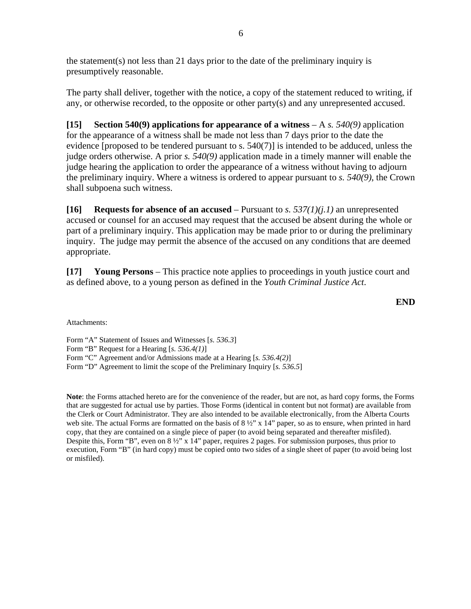the statement(s) not less than 21 days prior to the date of the preliminary inquiry is presumptively reasonable.

The party shall deliver, together with the notice, a copy of the statement reduced to writing, if any, or otherwise recorded, to the opposite or other party(s) and any unrepresented accused.

**[15] Section 540(9) applications for appearance of a witness** – A *s. 540(9)* application for the appearance of a witness shall be made not less than 7 days prior to the date the evidence [proposed to be tendered pursuant to s. 540(7)] is intended to be adduced, unless the judge orders otherwise. A prior *s. 540(9)* application made in a timely manner will enable the judge hearing the application to order the appearance of a witness without having to adjourn the preliminary inquiry. Where a witness is ordered to appear pursuant to *s. 540(9)*, the Crown shall subpoena such witness.

**[16] Requests for absence of an accused** – Pursuant to *s. 537(1)(j.1)* an unrepresented accused or counsel for an accused may request that the accused be absent during the whole or part of a preliminary inquiry. This application may be made prior to or during the preliminary inquiry. The judge may permit the absence of the accused on any conditions that are deemed appropriate.

**[17] Young Persons** – This practice note applies to proceedings in youth justice court and as defined above, to a young person as defined in the *Youth Criminal Justice Act*.

**END** 

Attachments:

Form "A" Statement of Issues and Witnesses [*s. 536.3*] Form "B" Request for a Hearing [*s. 536.4(1)*] Form "C" Agreement and/or Admissions made at a Hearing [*s. 536.4(2)*] Form "D" Agreement to limit the scope of the Preliminary Inquiry [*s. 536.5*]

**Note**: the Forms attached hereto are for the convenience of the reader, but are not, as hard copy forms, the Forms that are suggested for actual use by parties. Those Forms (identical in content but not format) are available from the Clerk or Court Administrator. They are also intended to be available electronically, from the Alberta Courts web site. The actual Forms are formatted on the basis of  $8\frac{1}{2}$ " x 14" paper, so as to ensure, when printed in hard copy, that they are contained on a single piece of paper (to avoid being separated and thereafter misfiled). Despite this, Form "B", even on  $8\frac{1}{2}$ " x 14" paper, requires 2 pages. For submission purposes, thus prior to execution, Form "B" (in hard copy) must be copied onto two sides of a single sheet of paper (to avoid being lost or misfiled).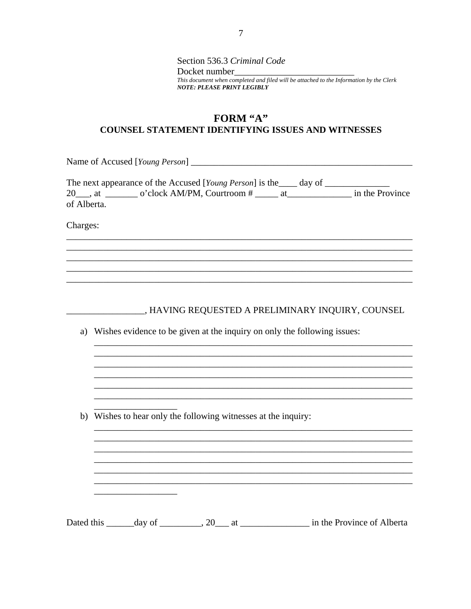Section 536.3 Criminal Code Docket number This document when completed and filed will be attached to the Information by the Clerk **NOTE: PLEASE PRINT LEGIBLY** 

### FORM "A" **COUNSEL STATEMENT IDENTIFYING ISSUES AND WITNESSES**

|             | The next appearance of the Accused [Young Person] is the day of |                 |
|-------------|-----------------------------------------------------------------|-----------------|
|             | 20, at o'clock AM/PM, Courtroom #                               | in the Province |
| of Alberta. |                                                                 |                 |

Charges:

\_\_\_\_\_\_\_\_\_\_\_\_\_, HAVING REQUESTED A PRELIMINARY INQUIRY, COUNSEL

a) Wishes evidence to be given at the inquiry on only the following issues:

b) Wishes to hear only the following witnesses at the inquiry:

Dated this \_\_\_\_\_\_\_ day of \_\_\_\_\_\_\_\_\_\_, 20\_\_\_\_ at \_\_\_\_\_\_\_\_\_\_\_\_\_\_\_\_\_\_\_\_\_ in the Province of Alberta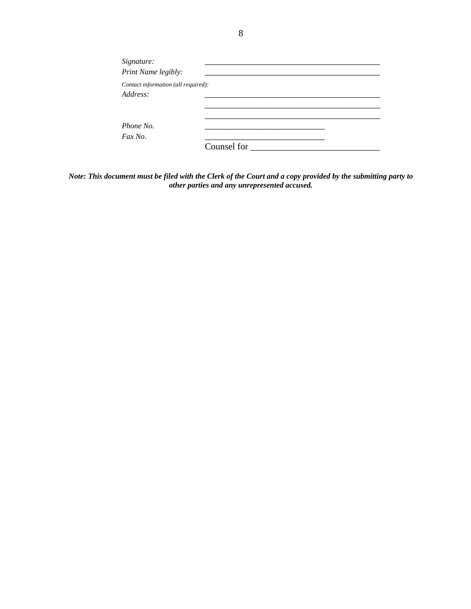| Signature:                          |             |  |
|-------------------------------------|-------------|--|
| Print Name legibly:                 |             |  |
| Contact information (all required): |             |  |
| Address:                            |             |  |
|                                     |             |  |
|                                     |             |  |
| Phone No.                           |             |  |
| Fax No.                             |             |  |
|                                     | Counsel for |  |

*Note: This document must be filed with the Clerk of the Court and a copy provided by the submitting party to other parties and any unrepresented accused.*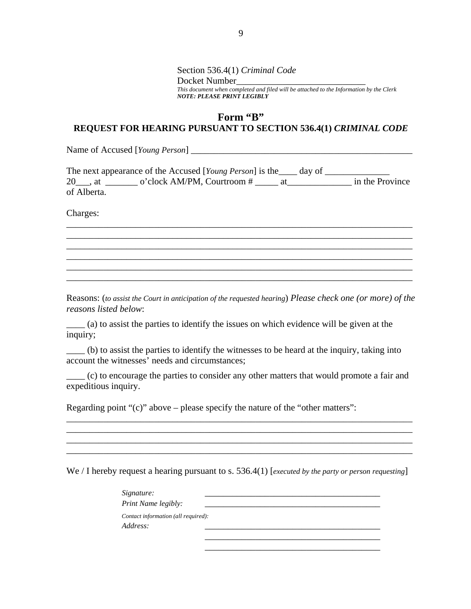Section 536.4(1) *Criminal Code* Docket Number *This document when completed and filed will be attached to the Information by the Clerk NOTE: PLEASE PRINT LEGIBLY*

## **Form "B" REQUEST FOR HEARING PURSUANT TO SECTION 536.4(1)** *CRIMINAL CODE*

Name of Accused [*Young Person*] \_\_\_\_\_\_\_\_\_\_\_\_\_\_\_\_\_\_\_\_\_\_\_\_\_\_\_\_\_\_\_\_\_\_\_\_\_\_\_\_\_\_\_\_\_\_\_\_

|             | The next appearance of the Accused [Young Person] is the _____ day of |                 |  |
|-------------|-----------------------------------------------------------------------|-----------------|--|
| 20 . at     | o'clock AM/PM, Courtroom #                                            | in the Province |  |
| of Alberta. |                                                                       |                 |  |

\_\_\_\_\_\_\_\_\_\_\_\_\_\_\_\_\_\_\_\_\_\_\_\_\_\_\_\_\_\_\_\_\_\_\_\_\_\_\_\_\_\_\_\_\_\_\_\_\_\_\_\_\_\_\_\_\_\_\_\_\_\_\_\_\_\_\_\_\_\_\_\_\_\_\_ \_\_\_\_\_\_\_\_\_\_\_\_\_\_\_\_\_\_\_\_\_\_\_\_\_\_\_\_\_\_\_\_\_\_\_\_\_\_\_\_\_\_\_\_\_\_\_\_\_\_\_\_\_\_\_\_\_\_\_\_\_\_\_\_\_\_\_\_\_\_\_\_\_\_\_ \_\_\_\_\_\_\_\_\_\_\_\_\_\_\_\_\_\_\_\_\_\_\_\_\_\_\_\_\_\_\_\_\_\_\_\_\_\_\_\_\_\_\_\_\_\_\_\_\_\_\_\_\_\_\_\_\_\_\_\_\_\_\_\_\_\_\_\_\_\_\_\_\_\_\_ \_\_\_\_\_\_\_\_\_\_\_\_\_\_\_\_\_\_\_\_\_\_\_\_\_\_\_\_\_\_\_\_\_\_\_\_\_\_\_\_\_\_\_\_\_\_\_\_\_\_\_\_\_\_\_\_\_\_\_\_\_\_\_\_\_\_\_\_\_\_\_\_\_\_\_ \_\_\_\_\_\_\_\_\_\_\_\_\_\_\_\_\_\_\_\_\_\_\_\_\_\_\_\_\_\_\_\_\_\_\_\_\_\_\_\_\_\_\_\_\_\_\_\_\_\_\_\_\_\_\_\_\_\_\_\_\_\_\_\_\_\_\_\_\_\_\_\_\_\_\_ \_\_\_\_\_\_\_\_\_\_\_\_\_\_\_\_\_\_\_\_\_\_\_\_\_\_\_\_\_\_\_\_\_\_\_\_\_\_\_\_\_\_\_\_\_\_\_\_\_\_\_\_\_\_\_\_\_\_\_\_\_\_\_\_\_\_\_\_\_\_\_\_\_\_\_

Charges:

Reasons: (*to assist the Court in anticipation of the requested hearing*) *Please check one (or more) of the reasons listed below*:

\_\_\_\_ (a) to assist the parties to identify the issues on which evidence will be given at the inquiry;

\_\_\_\_ (b) to assist the parties to identify the witnesses to be heard at the inquiry, taking into account the witnesses' needs and circumstances;

\_\_\_\_ (c) to encourage the parties to consider any other matters that would promote a fair and expeditious inquiry.

\_\_\_\_\_\_\_\_\_\_\_\_\_\_\_\_\_\_\_\_\_\_\_\_\_\_\_\_\_\_\_\_\_\_\_\_\_\_\_\_\_\_\_\_\_\_\_\_\_\_\_\_\_\_\_\_\_\_\_\_\_\_\_\_\_\_\_\_\_\_\_\_\_\_\_ \_\_\_\_\_\_\_\_\_\_\_\_\_\_\_\_\_\_\_\_\_\_\_\_\_\_\_\_\_\_\_\_\_\_\_\_\_\_\_\_\_\_\_\_\_\_\_\_\_\_\_\_\_\_\_\_\_\_\_\_\_\_\_\_\_\_\_\_\_\_\_\_\_\_\_ \_\_\_\_\_\_\_\_\_\_\_\_\_\_\_\_\_\_\_\_\_\_\_\_\_\_\_\_\_\_\_\_\_\_\_\_\_\_\_\_\_\_\_\_\_\_\_\_\_\_\_\_\_\_\_\_\_\_\_\_\_\_\_\_\_\_\_\_\_\_\_\_\_\_\_

Regarding point "(c)" above – please specify the nature of the "other matters":

We / I hereby request a hearing pursuant to s. 536.4(1) [*executed by the party or person requesting*]

| Signature:<br>Print Name legibly:               |  |  |
|-------------------------------------------------|--|--|
| Contact information (all required):<br>Address: |  |  |

\_\_\_\_\_\_\_\_\_\_\_\_\_\_\_\_\_\_\_\_\_\_\_\_\_\_\_\_\_\_\_\_\_\_\_\_\_\_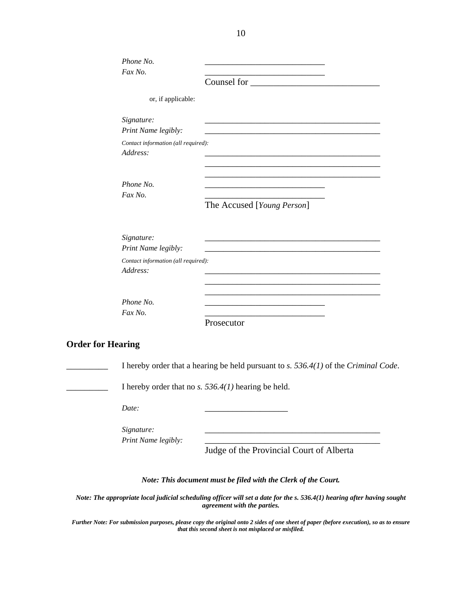| Phone No.                                       |                                                                                                                      |
|-------------------------------------------------|----------------------------------------------------------------------------------------------------------------------|
| Fax No.                                         | Counsel for                                                                                                          |
| or, if applicable:                              |                                                                                                                      |
| Signature:<br>Print Name legibly:               |                                                                                                                      |
| Contact information (all required):<br>Address: |                                                                                                                      |
| Phone No.<br>Fax No.                            | The Accused [Young Person]                                                                                           |
| Signature:<br>Print Name legibly:               | <u> 2000 - Jan Barat, prima de la contrada de la contrada de la contrada de la contrada de la contrada de la con</u> |
| Contact information (all required):<br>Address: |                                                                                                                      |
| Phone No.<br>Fax No.                            | the control of the control of the control of the control of the control of<br>Prosecutor                             |
| <b>Order for Hearing</b>                        |                                                                                                                      |
|                                                 | I hereby order that a hearing be held pursuant to $s. 536.4(1)$ of the Criminal Code.                                |
|                                                 | I hereby order that no s. $536.4(1)$ hearing be held.                                                                |
| Date:                                           |                                                                                                                      |

 $Signature:$ *Print Name legibly:* 

Judge of the Provincial Court of Alberta

*Note: This document must be filed with the Clerk of the Court.* 

*Note: The appropriate local judicial scheduling officer will set a date for the s. 536.4(1) hearing after having sought agreement with the parties.* 

*Further Note: For submission purposes, please copy the original onto 2 sides of one sheet of paper (before execution), so as to ensure that this second sheet is not misplaced or misfiled.*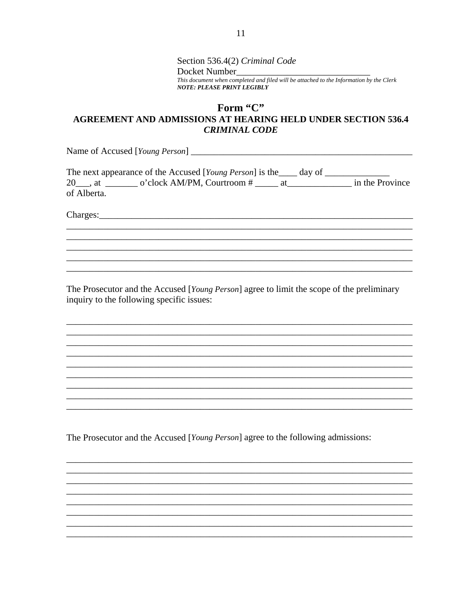Section 536.4(2) Criminal Code Docket Number This document when completed and filed will be attached to the Information by the Clerk **NOTE: PLEASE PRINT LEGIBLY** 

# Form "C" AGREEMENT AND ADMISSIONS AT HEARING HELD UNDER SECTION 536.4 **CRIMINAL CODE**

The next appearance of the Accused [Young Person] is the \_\_\_\_\_ day of \_\_\_\_\_\_\_\_\_ 20 at 0'clock AM/PM, Courtroom # at in the Province of Alberta.

The Prosecutor and the Accused [Young Person] agree to limit the scope of the preliminary inquiry to the following specific issues:

The Prosecutor and the Accused [Young Person] agree to the following admissions: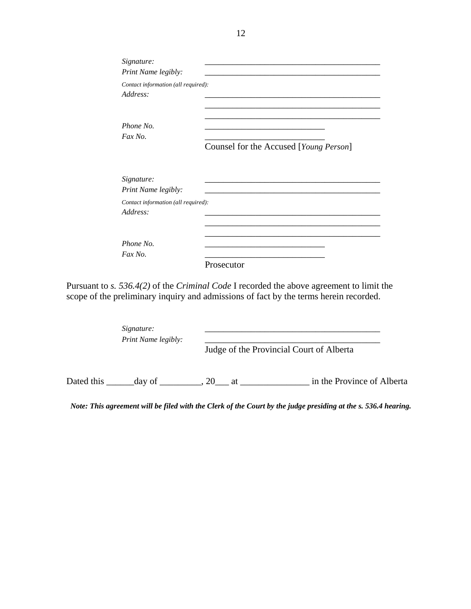| Signature:<br>Print Name legibly:               |                                        |  |
|-------------------------------------------------|----------------------------------------|--|
| Contact information (all required):<br>Address: |                                        |  |
| Phone No.<br>Fax No.                            | Counsel for the Accused [Young Person] |  |
| Signature:<br>Print Name legibly:               |                                        |  |
| Contact information (all required):<br>Address: |                                        |  |
| Phone No.<br>Fax No.                            | Prosecutor                             |  |

Pursuant to *s. 536.4(2)* of the *Criminal Code* I recorded the above agreement to limit the scope of the preliminary inquiry and admissions of fact by the terms herein recorded.

|            | Signature:<br>Print Name legibly: |  | Judge of the Provincial Court of Alberta |
|------------|-----------------------------------|--|------------------------------------------|
| Dated this | day of $\qquad \qquad .20$ at     |  | in the Province of Alberta               |

*Note: This agreement will be filed with the Clerk of the Court by the judge presiding at the s. 536.4 hearing.*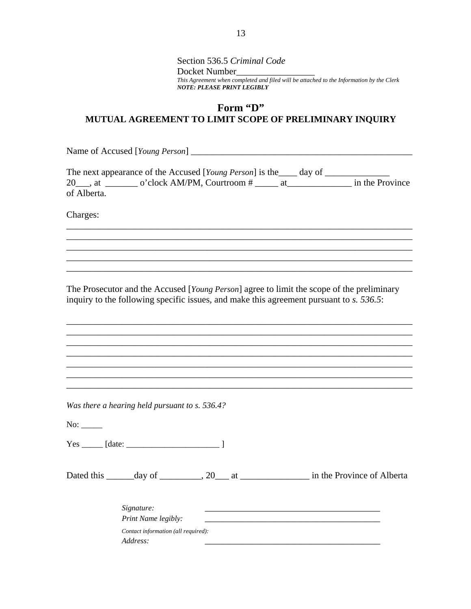Section 536.5 *Criminal Code* Docket Number\_\_\_\_\_\_\_\_\_\_\_\_\_\_\_\_\_ *This Agreement when completed and filed will be attached to the Information by the Clerk NOTE: PLEASE PRINT LEGIBLY*

# **Form "D" MUTUAL AGREEMENT TO LIMIT SCOPE OF PRELIMINARY INQUIRY**

Name of Accused [*Young Person*] \_\_\_\_\_\_\_\_\_\_\_\_\_\_\_\_\_\_\_\_\_\_\_\_\_\_\_\_\_\_\_\_\_\_\_\_\_\_\_\_\_\_\_\_\_\_\_\_

|             | The next appearance of the Accused [Young Person] is the _____ day of |  |                 |
|-------------|-----------------------------------------------------------------------|--|-----------------|
| 20 . at     | o'clock AM/PM, Courtroom #                                            |  | in the Province |
| of Alberta. |                                                                       |  |                 |

\_\_\_\_\_\_\_\_\_\_\_\_\_\_\_\_\_\_\_\_\_\_\_\_\_\_\_\_\_\_\_\_\_\_\_\_\_\_\_\_\_\_\_\_\_\_\_\_\_\_\_\_\_\_\_\_\_\_\_\_\_\_\_\_\_\_\_\_\_\_\_\_\_\_\_ \_\_\_\_\_\_\_\_\_\_\_\_\_\_\_\_\_\_\_\_\_\_\_\_\_\_\_\_\_\_\_\_\_\_\_\_\_\_\_\_\_\_\_\_\_\_\_\_\_\_\_\_\_\_\_\_\_\_\_\_\_\_\_\_\_\_\_\_\_\_\_\_\_\_\_ \_\_\_\_\_\_\_\_\_\_\_\_\_\_\_\_\_\_\_\_\_\_\_\_\_\_\_\_\_\_\_\_\_\_\_\_\_\_\_\_\_\_\_\_\_\_\_\_\_\_\_\_\_\_\_\_\_\_\_\_\_\_\_\_\_\_\_\_\_\_\_\_\_\_\_ \_\_\_\_\_\_\_\_\_\_\_\_\_\_\_\_\_\_\_\_\_\_\_\_\_\_\_\_\_\_\_\_\_\_\_\_\_\_\_\_\_\_\_\_\_\_\_\_\_\_\_\_\_\_\_\_\_\_\_\_\_\_\_\_\_\_\_\_\_\_\_\_\_\_\_ \_\_\_\_\_\_\_\_\_\_\_\_\_\_\_\_\_\_\_\_\_\_\_\_\_\_\_\_\_\_\_\_\_\_\_\_\_\_\_\_\_\_\_\_\_\_\_\_\_\_\_\_\_\_\_\_\_\_\_\_\_\_\_\_\_\_\_\_\_\_\_\_\_\_\_

Charges:

The Prosecutor and the Accused [*Young Person*] agree to limit the scope of the preliminary inquiry to the following specific issues, and make this agreement pursuant to *s. 536.5*:

\_\_\_\_\_\_\_\_\_\_\_\_\_\_\_\_\_\_\_\_\_\_\_\_\_\_\_\_\_\_\_\_\_\_\_\_\_\_\_\_\_\_\_\_\_\_\_\_\_\_\_\_\_\_\_\_\_\_\_\_\_\_\_\_\_\_\_\_\_\_\_\_\_\_\_ \_\_\_\_\_\_\_\_\_\_\_\_\_\_\_\_\_\_\_\_\_\_\_\_\_\_\_\_\_\_\_\_\_\_\_\_\_\_\_\_\_\_\_\_\_\_\_\_\_\_\_\_\_\_\_\_\_\_\_\_\_\_\_\_\_\_\_\_\_\_\_\_\_\_\_ \_\_\_\_\_\_\_\_\_\_\_\_\_\_\_\_\_\_\_\_\_\_\_\_\_\_\_\_\_\_\_\_\_\_\_\_\_\_\_\_\_\_\_\_\_\_\_\_\_\_\_\_\_\_\_\_\_\_\_\_\_\_\_\_\_\_\_\_\_\_\_\_\_\_\_ \_\_\_\_\_\_\_\_\_\_\_\_\_\_\_\_\_\_\_\_\_\_\_\_\_\_\_\_\_\_\_\_\_\_\_\_\_\_\_\_\_\_\_\_\_\_\_\_\_\_\_\_\_\_\_\_\_\_\_\_\_\_\_\_\_\_\_\_\_\_\_\_\_\_\_ \_\_\_\_\_\_\_\_\_\_\_\_\_\_\_\_\_\_\_\_\_\_\_\_\_\_\_\_\_\_\_\_\_\_\_\_\_\_\_\_\_\_\_\_\_\_\_\_\_\_\_\_\_\_\_\_\_\_\_\_\_\_\_\_\_\_\_\_\_\_\_\_\_\_\_ \_\_\_\_\_\_\_\_\_\_\_\_\_\_\_\_\_\_\_\_\_\_\_\_\_\_\_\_\_\_\_\_\_\_\_\_\_\_\_\_\_\_\_\_\_\_\_\_\_\_\_\_\_\_\_\_\_\_\_\_\_\_\_\_\_\_\_\_\_\_\_\_\_\_\_ \_\_\_\_\_\_\_\_\_\_\_\_\_\_\_\_\_\_\_\_\_\_\_\_\_\_\_\_\_\_\_\_\_\_\_\_\_\_\_\_\_\_\_\_\_\_\_\_\_\_\_\_\_\_\_\_\_\_\_\_\_\_\_\_\_\_\_\_\_\_\_\_\_\_\_

*Was there a hearing held pursuant to s. 536.4?*

 $No:$ 

 $Yes \_$  [date:  $\_$ 

Dated this \_\_\_\_\_\_day of \_\_\_\_\_\_\_, 20\_\_\_ at \_\_\_\_\_\_\_\_\_\_\_\_\_\_\_\_\_\_\_\_\_ in the Province of Alberta

| Signature:                          |  |
|-------------------------------------|--|
| Print Name legibly:                 |  |
| Contact information (all required): |  |
| Address:                            |  |